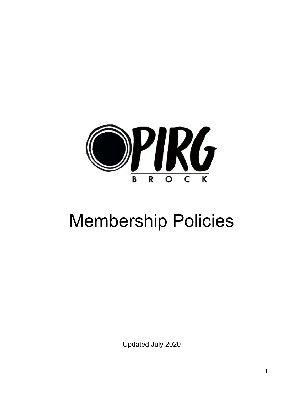

# Membership Policies

Updated July 2020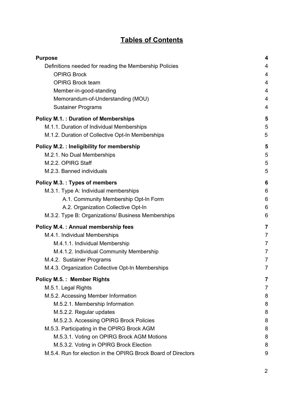#### **Tables of Contents**

| <b>Purpose</b>                                                | 4                       |
|---------------------------------------------------------------|-------------------------|
| Definitions needed for reading the Membership Policies        | 4                       |
| <b>OPIRG Brock</b>                                            | $\overline{4}$          |
| <b>OPIRG Brock team</b>                                       | $\overline{\mathbf{4}}$ |
| Member-in-good-standing                                       | 4                       |
| Memorandum-of-Understanding (MOU)                             | 4                       |
| <b>Sustainer Programs</b>                                     | 4                       |
| <b>Policy M.1.: Duration of Memberships</b>                   | 5                       |
| M.1.1. Duration of Individual Memberships                     | 5                       |
| M.1.2. Duration of Collective Opt-In Memberships              | 5                       |
| Policy M.2. : Ineligibility for membership                    | 5                       |
| M.2.1. No Dual Memberships                                    | 5                       |
| M.2.2. OPIRG Staff                                            | 5                       |
| M.2.3. Banned individuals                                     | 5                       |
| <b>Policy M.3.: Types of members</b>                          | 6                       |
| M.3.1. Type A: Individual memberships                         | $6\phantom{1}6$         |
| A.1. Community Membership Opt-In Form                         | 6                       |
| A.2. Organization Collective Opt-In                           | 6                       |
| M.3.2. Type B: Organizations/ Business Memberships            | 6                       |
| <b>Policy M.4.: Annual membership fees</b>                    | 7                       |
| M.4.1. Individual Memberships                                 | 7                       |
| M.4.1.1. Individual Membership                                | $\overline{7}$          |
| M.4.1.2. Individual Community Membership                      | $\overline{7}$          |
| M.4.2. Sustainer Programs                                     | $\overline{7}$          |
| M.4.3. Organization Collective Opt-In Memberships             | $\overline{7}$          |
| <b>Policy M.5.: Member Rights</b>                             | 7                       |
| M.5.1. Legal Rights                                           | $\overline{7}$          |
| M.5.2. Accessing Member Information                           | 8                       |
| M.5.2.1. Membership Information                               | 8                       |
| M.5.2.2. Regular updates                                      | 8                       |
| M.5.2.3. Accessing OPIRG Brock Policies                       | 8                       |
| M.5.3. Participating in the OPIRG Brock AGM                   | 8                       |
| M.5.3.1. Voting on OPIRG Brock AGM Motions                    | 8                       |
| M.5.3.2. Voting in OPIRG Brock Election                       | 8                       |
| M.5.4. Run for election in the OPIRG Brock Board of Directors | 9                       |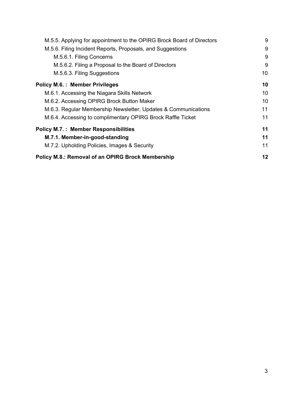| M.5.5. Applying for appointment to the OPIRG Brock Board of Directors | 9  |
|-----------------------------------------------------------------------|----|
| M.5.6. Filing Incident Reports, Proposals, and Suggestions            | 9  |
| M.5.6.1. Filing Concerns                                              | 9  |
| M.5.6.2. Filing a Proposal to the Board of Directors                  | 9  |
| M.5.6.3. Filing Suggestions                                           | 10 |
| <b>Policy M.6.: Member Privileges</b>                                 | 10 |
| M.6.1. Accessing the Niagara Skills Network                           | 10 |
| M.6.2. Accessing OPIRG Brock Button Maker                             | 10 |
| M.6.3. Regular Membership Newsletter, Updates & Communications        | 11 |
| M.6.4. Accessing to complimentary OPIRG Brock Raffle Ticket           | 11 |
| <b>Policy M.7.: Member Responsibilities</b>                           | 11 |
| M.7.1. Member-in-good-standing                                        | 11 |
| M.7.2. Upholding Policies, Images & Security                          | 11 |
| <b>Policy M.8.: Removal of an OPIRG Brock Membership</b>              | 12 |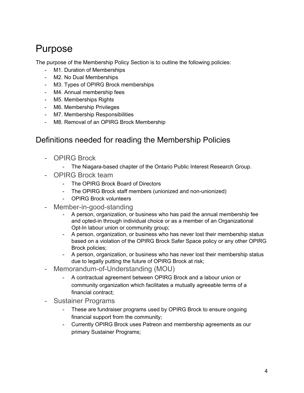## <span id="page-3-0"></span>Purpose

The purpose of the Membership Policy Section is to outline the following policies:

- M1. Duration of Memberships
- M2. No Dual Memberships
- M3. Types of OPIRG Brock memberships
- M4. Annual membership fees
- M5. Memberships Rights
- M6. Membership Privileges
- M7. Membership Responsibilities
- M8. Removal of an OPIRG Brock Membership

#### <span id="page-3-1"></span>Definitions needed for reading the Membership Policies

- <span id="page-3-2"></span>- OPIRG Brock
	- The Niagara-based chapter of the Ontario Public Interest Research Group.
- <span id="page-3-3"></span>- OPIRG Brock team
	- The OPIRG Brock Board of Directors
	- The OPIRG Brock staff members (unionized and non-unionized)
	- OPIRG Brock volunteers
- <span id="page-3-4"></span>Member-in-good-standing
	- A person, organization, or business who has paid the annual membership fee and opted-in through individual choice or as a member of an Organizational Opt-In labour union or community group;
	- A person, organization, or business who has never lost their membership status based on a violation of the OPIRG Brock Safer Space policy or any other OPIRG Brock policies;
	- A person, organization, or business who has never lost their membership status due to legally putting the future of OPIRG Brock at risk;
- <span id="page-3-5"></span>Memorandum-of-Understanding (MOU)
	- A contractual agreement between OPIRG Brock and a labour union or community organization which facilitates a mutually agreeable terms of a financial contract;
- <span id="page-3-6"></span>- Sustainer Programs
	- These are fundraiser programs used by OPIRG Brock to ensure ongoing financial support from the community;
	- Currently OPIRG Brock uses Patreon and membership agreements as our primary Sustainer Programs;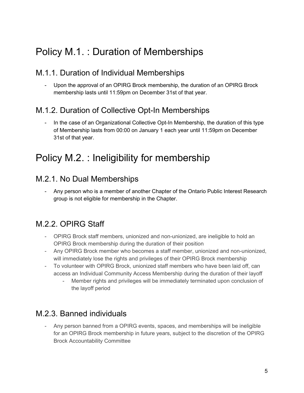## <span id="page-4-0"></span>Policy M.1. : Duration of Memberships

#### <span id="page-4-1"></span>M.1.1. Duration of Individual Memberships

Upon the approval of an OPIRG Brock membership, the duration of an OPIRG Brock membership lasts until 11:59pm on December 31st of that year.

#### <span id="page-4-2"></span>M.1.2. Duration of Collective Opt-In Memberships

In the case of an Organizational Collective Opt-In Membership, the duration of this type of Membership lasts from 00:00 on January 1 each year until 11:59pm on December 31st of that year.

## <span id="page-4-3"></span>Policy M.2. : Ineligibility for membership

#### <span id="page-4-4"></span>M.2.1. No Dual Memberships

- Any person who is a member of another Chapter of the Ontario Public Interest Research group is not eligible for membership in the Chapter.

### <span id="page-4-5"></span>M.2.2. OPIRG Staff

- OPIRG Brock staff members, unionized and non-unionized, are ineligible to hold an OPIRG Brock membership during the duration of their position
- Any OPIRG Brock member who becomes a staff member, unionized and non-unionized, will immediately lose the rights and privileges of their OPIRG Brock membership
- To volunteer with OPIRG Brock, unionized staff members who have been laid off, can access an Individual Community Access Membership during the duration of their layoff
	- Member rights and privileges will be immediately terminated upon conclusion of the layoff period

#### <span id="page-4-6"></span>M.2.3. Banned individuals

- Any person banned from a OPIRG events, spaces, and memberships will be ineligible for an OPIRG Brock membership in future years, subject to the discretion of the OPIRG Brock Accountability Committee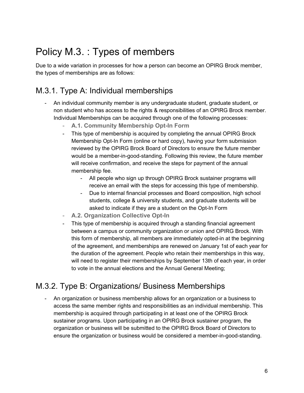# <span id="page-5-0"></span>Policy M.3. : Types of members

Due to a wide variation in processes for how a person can become an OPIRG Brock member, the types of memberships are as follows:

#### <span id="page-5-1"></span>M.3.1. Type A: Individual memberships

- <span id="page-5-2"></span>- An individual community member is any undergraduate student, graduate student, or non student who has access to the rights & responsibilities of an OPIRG Brock member. Individual Memberships can be acquired through one of the following processes:
	- **A.1. Community Membership Opt-In Form**
	- This type of membership is acquired by completing the annual OPIRG Brock Membership Opt-In Form (online or hard copy), having your form submission reviewed by the OPIRG Brock Board of Directors to ensure the future member would be a member-in-good-standing. Following this review, the future member will receive confirmation, and receive the steps for payment of the annual membership fee.
		- All people who sign up through OPIRG Brock sustainer programs will receive an email with the steps for accessing this type of membership.
		- Due to internal financial processes and Board composition, high school students, college & university students, and graduate students will be asked to indicate if they are a student on the Opt-In Form
	- **A.2. Organization Collective Opt-In**
	- This type of membership is acquired through a standing financial agreement between a campus or community organization or union and OPIRG Brock. With this form of membership, all members are immediately opted-in at the beginning of the agreement, and memberships are renewed on January 1st of each year for the duration of the agreement. People who retain their memberships in this way, will need to register their memberships by September 13th of each year, in order to vote in the annual elections and the Annual General Meeting;

#### <span id="page-5-4"></span><span id="page-5-3"></span>M.3.2. Type B: Organizations/ Business Memberships

- An organization or business membership allows for an organization or a business to access the same member rights and responsibilities as an individual membership. This membership is acquired through participating in at least one of the OPIRG Brock sustainer programs. Upon participating in an OPIRG Brock sustainer program, the organization or business will be submitted to the OPIRG Brock Board of Directors to ensure the organization or business would be considered a member-in-good-standing.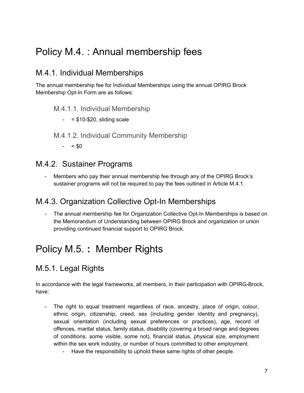## <span id="page-6-0"></span>Policy M.4. : Annual membership fees

#### <span id="page-6-1"></span>M.4.1. Individual Memberships

<span id="page-6-2"></span>The annual membership fee for Individual Memberships using the annual OPIRG Brock Membership Opt-In Form are as follows:

#### M.4.1.1. Individual Membership

- $-$  = \$10-\$20, sliding scale
- <span id="page-6-3"></span>M.4.1.2. Individual Community Membership
	- $= $0$

#### <span id="page-6-4"></span>M.4.2. Sustainer Programs

Members who pay their annual membership fee through any of the OPIRG Brock's sustainer programs will not be required to pay the fees outlined in Article M.4.1.

#### <span id="page-6-5"></span>M.4.3. Organization Collective Opt-In Memberships

The annual membership fee for Organization Collective Opt-In Memberships is based on the Memorandum of Understanding between OPIRG Brock and organization or union providing continued financial support to OPIRG Brock.

## <span id="page-6-6"></span>Policy M.5. **:** Member Rights

#### <span id="page-6-7"></span>M.5.1. Legal Rights

In accordance with the legal frameworks, all members, in their participation with OPIRG-Brock, have:

- The right to equal treatment regardless of race, ancestry, place of origin, colour, ethnic origin, citizenship, creed, sex (including gender identity and pregnancy), sexual orientation (including sexual preferences or practices), age, record of offences, marital status, family status, disability (covering a broad range and degrees of conditions, some visible, some not), financial status, physical size, employment within the sex work industry, or number of hours committed to other employment.
	- Have the responsibility to uphold these same rights of other people.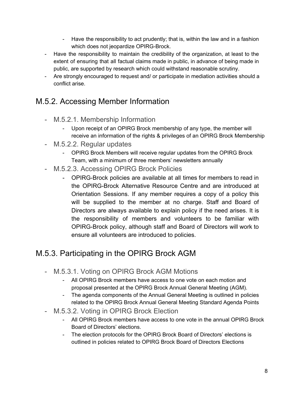- Have the responsibility to act prudently; that is, within the law and in a fashion which does not jeopardize OPIRG-Brock.
- Have the responsibility to maintain the credibility of the organization, at least to the extent of ensuring that all factual claims made in public, in advance of being made in public, are supported by research which could withstand reasonable scrutiny.
- Are strongly encouraged to request and/ or participate in mediation activities should a conflict arise.

### <span id="page-7-0"></span>M.5.2. Accessing Member Information

- <span id="page-7-1"></span>- M.5.2.1. Membership Information
	- Upon receipt of an OPIRG Brock membership of any type, the member will receive an information of the rights & privileges of an OPIRG Brock Membership
- <span id="page-7-2"></span>- M.5.2.2. Regular updates
	- OPIRG Brock Members will receive regular updates from the OPIRG Brock Team, with a minimum of three members' newsletters annually
- <span id="page-7-3"></span>M.5.2.3. Accessing OPIRG Brock Policies
	- OPIRG-Brock policies are available at all times for members to read in the OPIRG-Brock Alternative Resource Centre and are introduced at Orientation Sessions. If any member requires a copy of a policy this will be supplied to the member at no charge. Staff and Board of Directors are always available to explain policy if the need arises. It is the responsibility of members and volunteers to be familiar with OPIRG-Brock policy, although staff and Board of Directors will work to ensure all volunteers are introduced to policies.

### <span id="page-7-4"></span>M.5.3. Participating in the OPIRG Brock AGM

- <span id="page-7-5"></span>- M.5.3.1. Voting on OPIRG Brock AGM Motions
	- All OPIRG Brock members have access to one vote on each motion and proposal presented at the OPIRG Brock Annual General Meeting (AGM).
	- The agenda components of the Annual General Meeting is outlined in policies related to the OPIRG Brock Annual General Meeting Standard Agenda Points
- <span id="page-7-6"></span>- M.5.3.2. Voting in OPIRG Brock Election
	- All OPIRG Brock members have access to one vote in the annual OPIRG Brock Board of Directors' elections.
	- The election protocols for the OPIRG Brock Board of Directors' elections is outlined in policies related to OPIRG Brock Board of Directors Elections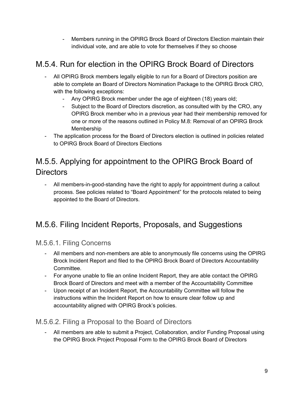- Members running in the OPIRG Brock Board of Directors Election maintain their individual vote, and are able to vote for themselves if they so choose

#### <span id="page-8-0"></span>M.5.4. Run for election in the OPIRG Brock Board of Directors

- All OPIRG Brock members legally eligible to run for a Board of Directors position are able to complete an Board of Directors Nomination Package to the OPIRG Brock CRO, with the following exceptions:
	- Any OPIRG Brock member under the age of eighteen (18) years old;
	- Subject to the Board of Directors discretion, as consulted with by the CRO, any OPIRG Brock member who in a previous year had their membership removed for one or more of the reasons outlined in Policy M.8: Removal of an OPIRG Brock Membership
- The application process for the Board of Directors election is outlined in policies related to OPIRG Brock Board of Directors Elections

## <span id="page-8-1"></span>M.5.5. Applying for appointment to the OPIRG Brock Board of **Directors**

- All members-in-good-standing have the right to apply for appointment during a callout process. See policies related to "Board Appointment" for the protocols related to being appointed to the Board of Directors.

### <span id="page-8-2"></span>M.5.6. Filing Incident Reports, Proposals, and Suggestions

<span id="page-8-3"></span>M.5.6.1. Filing Concerns

- All members and non-members are able to anonymously file concerns using the OPIRG Brock Incident Report and filed to the OPIRG Brock Board of Directors Accountability Committee.
- For anyone unable to file an online Incident Report, they are able contact the OPIRG Brock Board of Directors and meet with a member of the Accountability Committee
- Upon receipt of an Incident Report, the Accountability Committee will follow the instructions within the Incident Report on how to ensure clear follow up and accountability aligned with OPIRG Brock's policies.

#### <span id="page-8-4"></span>M.5.6.2. Filing a Proposal to the Board of Directors

All members are able to submit a Project, Collaboration, and/or Funding Proposal using the OPIRG Brock Project Proposal Form to the OPIRG Brock Board of Directors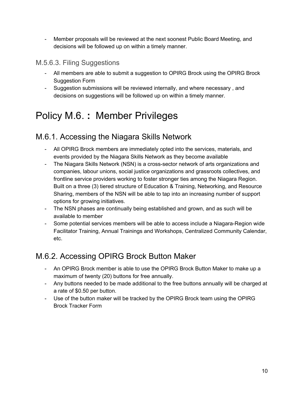- Member proposals will be reviewed at the next soonest Public Board Meeting, and decisions will be followed up on within a timely manner.

#### <span id="page-9-0"></span>M.5.6.3. Filing Suggestions

- All members are able to submit a suggestion to OPIRG Brock using the OPIRG Brock Suggestion Form
- Suggestion submissions will be reviewed internally, and where necessary , and decisions on suggestions will be followed up on within a timely manner.

## <span id="page-9-1"></span>Policy M.6. **:** Member Privileges

#### <span id="page-9-2"></span>M.6.1. Accessing the Niagara Skills Network

- All OPIRG Brock members are immediately opted into the services, materials, and events provided by the Niagara Skills Network as they become available
- The Niagara Skills Network (NSN) is a cross-sector network of arts organizations and companies, labour unions, social justice organizations and grassroots collectives, and frontline service providers working to foster stronger ties among the Niagara Region. Built on a three (3) tiered structure of Education & Training, Networking, and Resource Sharing, members of the NSN will be able to tap into an increasing number of support options for growing initiatives.
- The NSN phases are continually being established and grown, and as such will be available to member
- Some potential services members will be able to access include a Niagara-Region wide Facilitator Training, Annual Trainings and Workshops, Centralized Community Calendar, etc.

### <span id="page-9-3"></span>M.6.2. Accessing OPIRG Brock Button Maker

- An OPIRG Brock member is able to use the OPIRG Brock Button Maker to make up a maximum of twenty (20) buttons for free annually.
- Any buttons needed to be made additional to the free buttons annually will be charged at a rate of \$0.50 per button.
- Use of the button maker will be tracked by the OPIRG Brock team using the OPIRG Brock Tracker Form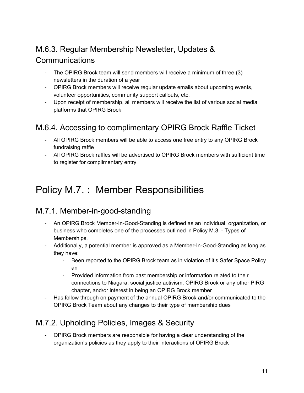## <span id="page-10-0"></span>M.6.3. Regular Membership Newsletter, Updates & **Communications**

- The OPIRG Brock team will send members will receive a minimum of three (3) newsletters in the duration of a year
- OPIRG Brock members will receive regular update emails about upcoming events, volunteer opportunities, community support callouts, etc.
- Upon receipt of membership, all members will receive the list of various social media platforms that OPIRG Brock

#### <span id="page-10-1"></span>M.6.4. Accessing to complimentary OPIRG Brock Raffle Ticket

- All OPIRG Brock members will be able to access one free entry to any OPIRG Brock fundraising raffle
- All OPIRG Brock raffles will be advertised to OPIRG Brock members with sufficient time to register for complimentary entry

## <span id="page-10-2"></span>Policy M.7. **:** Member Responsibilities

#### <span id="page-10-3"></span>M.7.1. Member-in-good-standing

- An OPIRG Brock Member-In-Good-Standing is defined as an individual, organization, or business who completes one of the processes outlined in Policy M.3. - Types of Memberships,
- Additionally, a potential member is approved as a Member-In-Good-Standing as long as they have:
	- Been reported to the OPIRG Brock team as in violation of it's Safer Space Policy an
	- Provided information from past membership or information related to their connections to Niagara, social justice activism, OPIRG Brock or any other PIRG chapter, and/or interest in being an OPIRG Brock member
- Has follow through on payment of the annual OPIRG Brock and/or communicated to the OPIRG Brock Team about any changes to their type of membership dues

#### <span id="page-10-4"></span>M.7.2. Upholding Policies, Images & Security

- OPIRG Brock members are responsible for having a clear understanding of the organization's policies as they apply to their interactions of OPIRG Brock